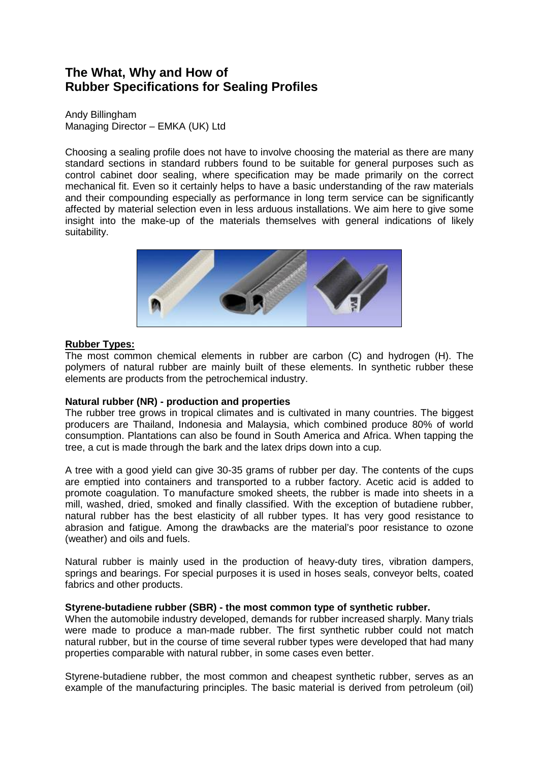# **The What, Why and How of Rubber Specifications for Sealing Profiles**

Andy Billingham Managing Director – EMKA (UK) Ltd

Choosing a sealing profile does not have to involve choosing the material as there are many standard sections in standard rubbers found to be suitable for general purposes such as control cabinet door sealing, where specification may be made primarily on the correct mechanical fit. Even so it certainly helps to have a basic understanding of the raw materials and their compounding especially as performance in long term service can be significantly affected by material selection even in less arduous installations. We aim here to give some insight into the make-up of the materials themselves with general indications of likely suitability.



# **Rubber Types:**

The most common chemical elements in rubber are carbon (C) and hydrogen (H). The polymers of natural rubber are mainly built of these elements. In synthetic rubber these elements are products from the petrochemical industry.

# **Natural rubber (NR) - production and properties**

The rubber tree grows in tropical climates and is cultivated in many countries. The biggest producers are Thailand, Indonesia and Malaysia, which combined produce 80% of world consumption. Plantations can also be found in South America and Africa. When tapping the tree, a cut is made through the bark and the latex drips down into a cup.

A tree with a good yield can give 30-35 grams of rubber per day. The contents of the cups are emptied into containers and transported to a rubber factory. Acetic acid is added to promote coagulation. To manufacture smoked sheets, the rubber is made into sheets in a mill, washed, dried, smoked and finally classified. With the exception of butadiene rubber, natural rubber has the best elasticity of all rubber types. It has very good resistance to abrasion and fatigue. Among the drawbacks are the material's poor resistance to ozone (weather) and oils and fuels.

Natural rubber is mainly used in the production of heavy-duty tires, vibration dampers, springs and bearings. For special purposes it is used in hoses seals, conveyor belts, coated fabrics and other products.

# **Styrene-butadiene rubber (SBR) - the most common type of synthetic rubber.**

When the automobile industry developed, demands for rubber increased sharply. Many trials were made to produce a man-made rubber. The first synthetic rubber could not match natural rubber, but in the course of time several rubber types were developed that had many properties comparable with natural rubber, in some cases even better.

Styrene-butadiene rubber, the most common and cheapest synthetic rubber, serves as an example of the manufacturing principles. The basic material is derived from petroleum (oil)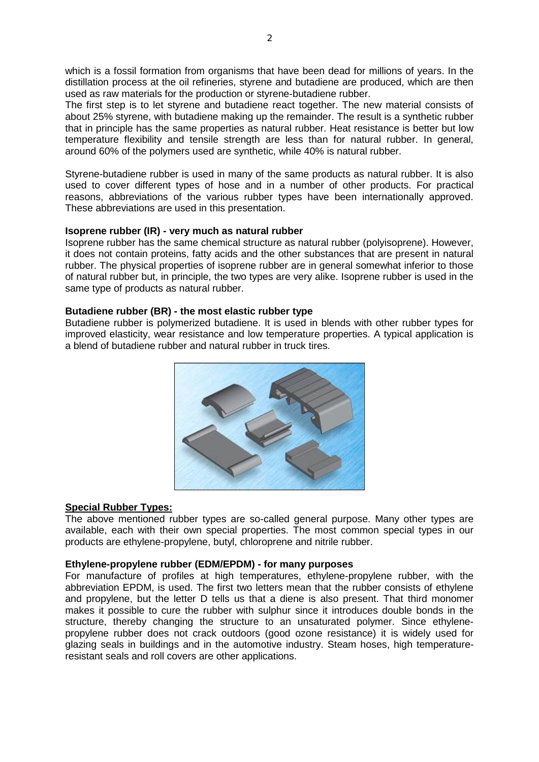which is a fossil formation from organisms that have been dead for millions of years. In the distillation process at the oil refineries, styrene and butadiene are produced, which are then used as raw materials for the production or styrene-butadiene rubber.

The first step is to let styrene and butadiene react together. The new material consists of about 25% styrene, with butadiene making up the remainder. The result is a synthetic rubber that in principle has the same properties as natural rubber. Heat resistance is better but low temperature flexibility and tensile strength are less than for natural rubber. In general, around 60% of the polymers used are synthetic, while 40% is natural rubber.

Styrene-butadiene rubber is used in many of the same products as natural rubber. It is also used to cover different types of hose and in a number of other products. For practical reasons, abbreviations of the various rubber types have been internationally approved. These abbreviations are used in this presentation.

## **Isoprene rubber (IR) - very much as natural rubber**

Isoprene rubber has the same chemical structure as natural rubber (polyisoprene). However, it does not contain proteins, fatty acids and the other substances that are present in natural rubber. The physical properties of isoprene rubber are in general somewhat inferior to those of natural rubber but, in principle, the two types are very alike. Isoprene rubber is used in the same type of products as natural rubber.

# **Butadiene rubber (BR) - the most elastic rubber type**

Butadiene rubber is polymerized butadiene. It is used in blends with other rubber types for improved elasticity, wear resistance and low temperature properties. A typical application is a blend of butadiene rubber and natural rubber in truck tires.



# **Special Rubber Types:**

The above mentioned rubber types are so-called general purpose. Many other types are available, each with their own special properties. The most common special types in our products are ethylene-propylene, butyl, chloroprene and nitrile rubber.

#### **Ethylene-propylene rubber (EDM/EPDM) - for many purposes**

For manufacture of profiles at high temperatures, ethylene-propylene rubber, with the abbreviation EPDM, is used. The first two letters mean that the rubber consists of ethylene and propylene, but the letter D tells us that a diene is also present. That third monomer makes it possible to cure the rubber with sulphur since it introduces double bonds in the structure, thereby changing the structure to an unsaturated polymer. Since ethylenepropylene rubber does not crack outdoors (good ozone resistance) it is widely used for glazing seals in buildings and in the automotive industry. Steam hoses, high temperatureresistant seals and roll covers are other applications.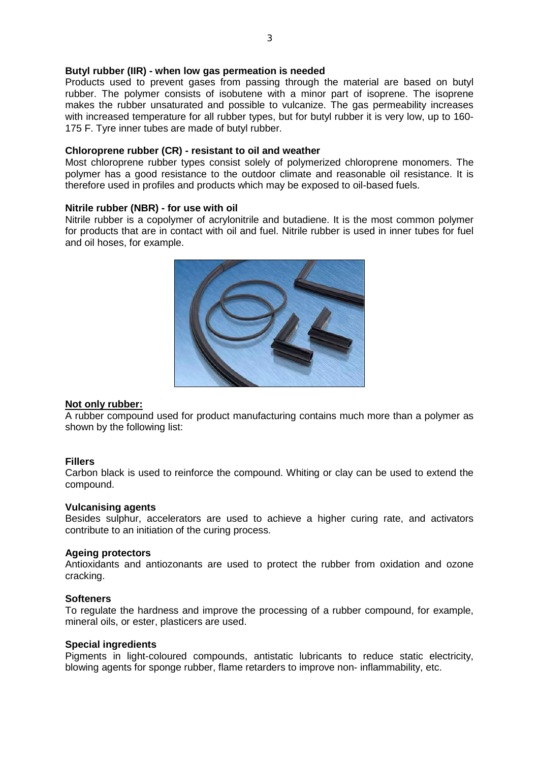## **Butyl rubber (IIR) - when low gas permeation is needed**

Products used to prevent gases from passing through the material are based on butyl rubber. The polymer consists of isobutene with a minor part of isoprene. The isoprene makes the rubber unsaturated and possible to vulcanize. The gas permeability increases with increased temperature for all rubber types, but for butyl rubber it is very low, up to 160- 175 F. Tyre inner tubes are made of butyl rubber.

## **Chloroprene rubber (CR) - resistant to oil and weather**

Most chloroprene rubber types consist solely of polymerized chloroprene monomers. The polymer has a good resistance to the outdoor climate and reasonable oil resistance. It is therefore used in profiles and products which may be exposed to oil-based fuels.

## **Nitrile rubber (NBR) - for use with oil**

Nitrile rubber is a copolymer of acrylonitrile and butadiene. It is the most common polymer for products that are in contact with oil and fuel. Nitrile rubber is used in inner tubes for fuel and oil hoses, for example.



# **Not only rubber:**

A rubber compound used for product manufacturing contains much more than a polymer as shown by the following list:

# **Fillers**

Carbon black is used to reinforce the compound. Whiting or clay can be used to extend the compound.

#### **Vulcanising agents**

Besides sulphur, accelerators are used to achieve a higher curing rate, and activators contribute to an initiation of the curing process.

#### **Ageing protectors**

Antioxidants and antiozonants are used to protect the rubber from oxidation and ozone cracking.

#### **Softeners**

To regulate the hardness and improve the processing of a rubber compound, for example, mineral oils, or ester, plasticers are used.

#### **Special ingredients**

Pigments in light-coloured compounds, antistatic lubricants to reduce static electricity, blowing agents for sponge rubber, flame retarders to improve non- inflammability, etc.